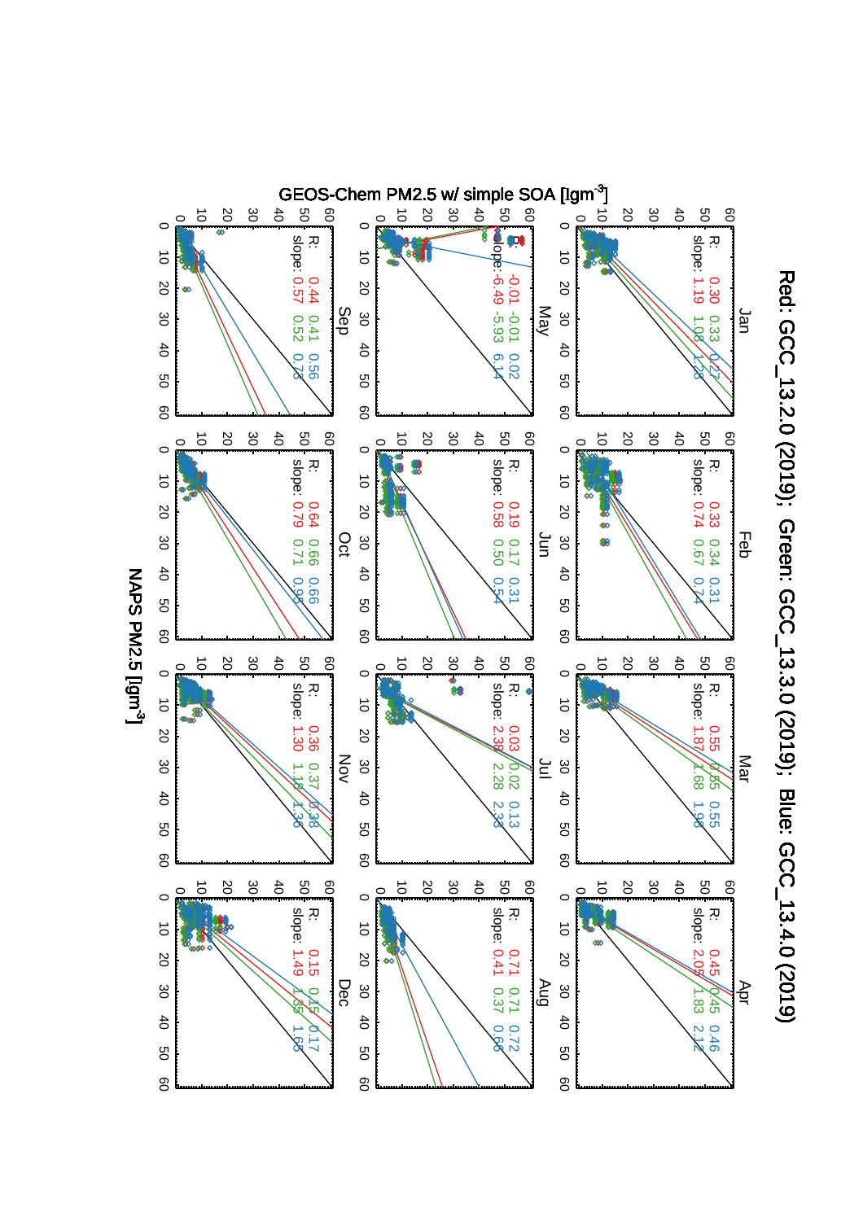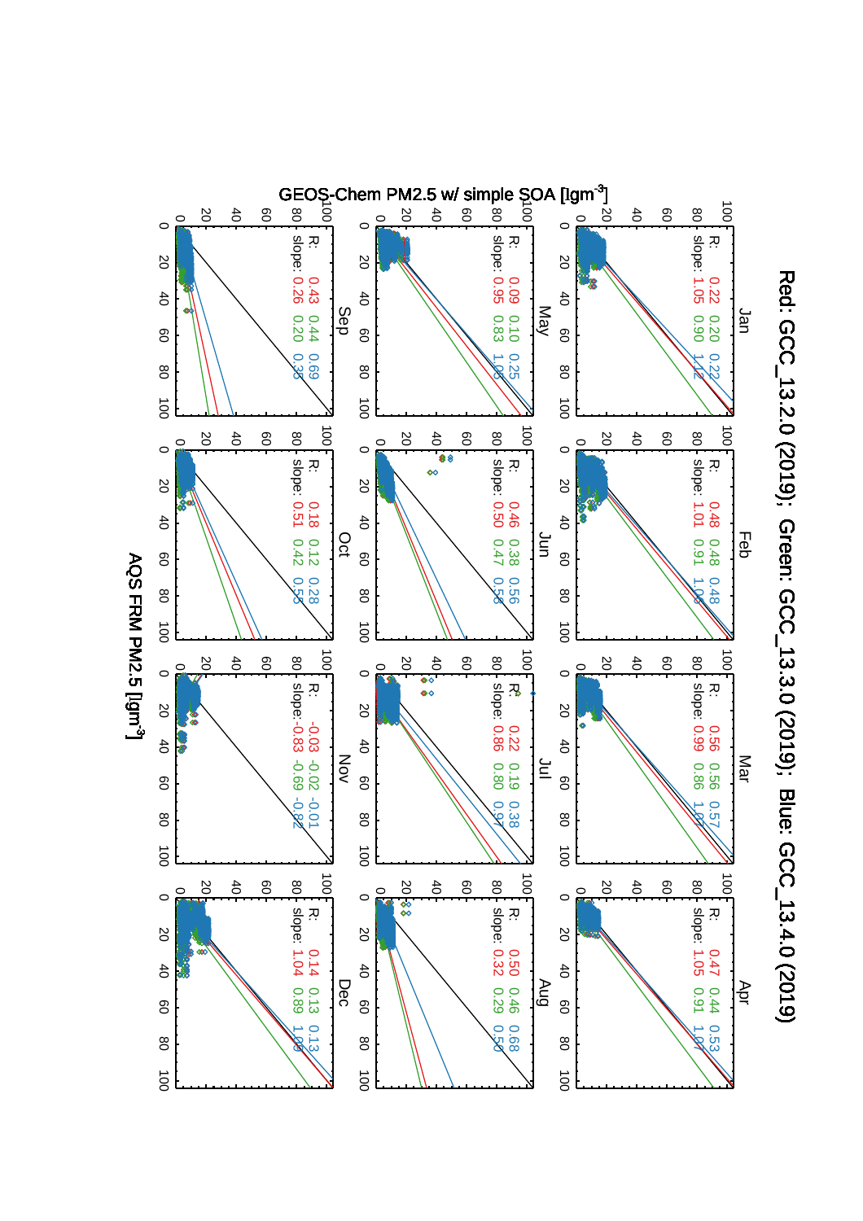

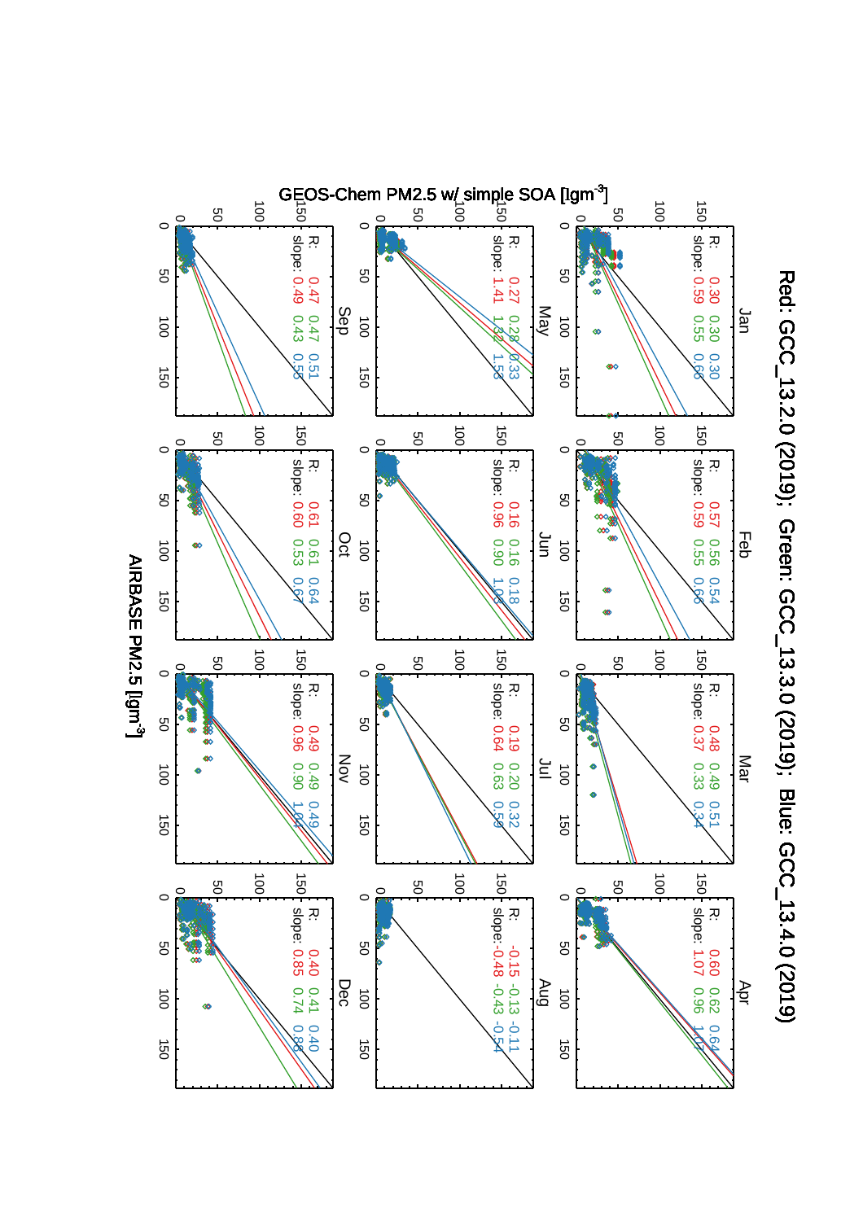

Red: GCC\_13.2.0 (2019); Green: GCC\_13.3.0 (2019); Blue: GCC\_13.4.0 (2019) Red: GCC\_13.2.0 (2019); Green: GCC\_13.3.0 (2019); Blue: GCC\_13.4.0 (2019)